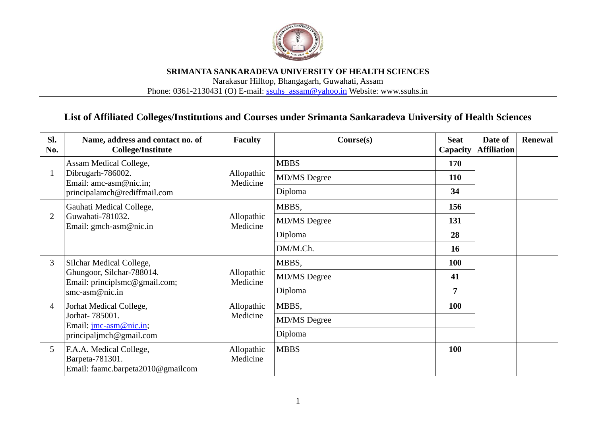

## **SRIMANTA SANKARADEVA UNIVERSITY OF HEALTH SCIENCES** Narakasur Hilltop, Bhangagarh, Guwahati, Assam Phone: 0361-2130431 (O) E-mail: [ssuhs\\_assam@yahoo.in](mailto:ssuhs_assam@yahoo.in) Website: www.ssuhs.in

## **List of Affiliated Colleges/Institutions and Courses under Srimanta Sankaradeva University of Health Sciences**

| SI.<br>No.     | Name, address and contact no. of<br><b>College/Institute</b>                    | <b>Faculty</b>         | Course(s)           | <b>Seat</b><br>Capacity | Date of<br><b>Affiliation</b> | <b>Renewal</b> |
|----------------|---------------------------------------------------------------------------------|------------------------|---------------------|-------------------------|-------------------------------|----------------|
|                | Assam Medical College,<br>Dibrugarh-786002.<br>Email: amc-asm@nic.in;           | Allopathic<br>Medicine | <b>MBBS</b>         | 170                     |                               |                |
|                |                                                                                 |                        | <b>MD/MS</b> Degree | 110                     |                               |                |
|                | principalamch@rediffmail.com                                                    |                        | Diploma             | 34                      |                               |                |
|                | Gauhati Medical College,                                                        |                        | MBBS,               | 156                     |                               |                |
| $\overline{2}$ | Guwahati-781032.<br>Email: gmch-asm@nic.in                                      | Allopathic<br>Medicine | <b>MD/MS</b> Degree | 131                     |                               |                |
|                |                                                                                 |                        | Diploma             | 28                      |                               |                |
|                |                                                                                 |                        | DM/M.Ch.            | 16                      |                               |                |
| 3              | Silchar Medical College,                                                        |                        | MBBS,               | <b>100</b>              |                               |                |
|                | Ghungoor, Silchar-788014.<br>Email: principlsmc@gmail.com;                      | Allopathic<br>Medicine | MD/MS Degree        | 41                      |                               |                |
|                | smc-asm@nic.in                                                                  |                        | Diploma             | 7                       |                               |                |
| 4              | Jorhat Medical College,                                                         | Allopathic             | MBBS,               | <b>100</b>              |                               |                |
|                | Jorhat- 785001.<br>Email: <u>imc-asm@nic.in</u> ;                               | Medicine               | <b>MD/MS</b> Degree |                         |                               |                |
|                | principalimch@gmail.com                                                         | Diploma                |                     |                         |                               |                |
| 5              | F.A.A. Medical College,<br>Barpeta-781301.<br>Email: faamc.barpeta2010@gmailcom | Allopathic<br>Medicine | <b>MBBS</b>         | 100                     |                               |                |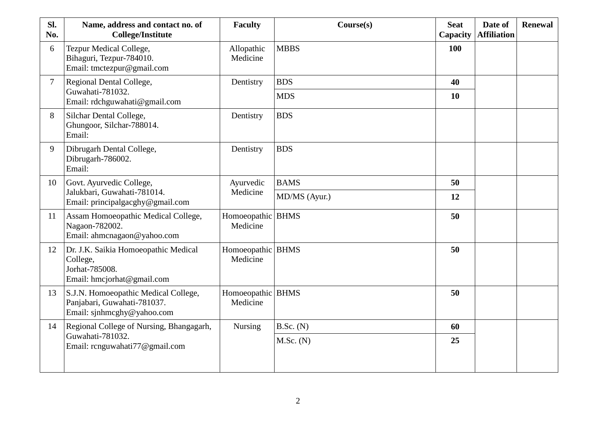| Sl.<br>No.     | Name, address and contact no. of<br><b>College/Institute</b>                                      | <b>Faculty</b>                | Course(s)                | <b>Seat</b><br>Capacity | Date of<br><b>Affiliation</b> | <b>Renewal</b> |  |
|----------------|---------------------------------------------------------------------------------------------------|-------------------------------|--------------------------|-------------------------|-------------------------------|----------------|--|
| 6              | <b>Tezpur Medical College,</b><br>Bihaguri, Tezpur-784010.<br>Email: tmctezpur@gmail.com          | Allopathic<br>Medicine        | <b>MBBS</b>              | 100                     |                               |                |  |
| $\overline{7}$ | Regional Dental College,<br>Guwahati-781032.<br>Email: rdchguwahati@gmail.com                     | Dentistry                     | <b>BDS</b><br><b>MDS</b> | 40<br>10                |                               |                |  |
| 8              | Silchar Dental College,<br>Ghungoor, Silchar-788014.<br>Email:                                    | Dentistry                     | <b>BDS</b>               |                         |                               |                |  |
| 9              | Dibrugarh Dental College,<br>Dibrugarh-786002.<br>Email:                                          | Dentistry                     | <b>BDS</b>               |                         |                               |                |  |
| 10             | Govt. Ayurvedic College,                                                                          | Ayurvedic                     | <b>BAMS</b>              | 50                      |                               |                |  |
|                | Jalukbari, Guwahati-781014.<br>Email: principalgacghy@gmail.com                                   | Medicine                      | MD/MS (Ayur.)            | 12                      |                               |                |  |
| 11             | Assam Homoeopathic Medical College,<br>Nagaon-782002.<br>Email: ahmcnagaon@yahoo.com              | Homoeopathic BHMS<br>Medicine |                          | 50                      |                               |                |  |
| 12             | Dr. J.K. Saikia Homoeopathic Medical<br>College,<br>Jorhat-785008.<br>Email: hmcjorhat@gmail.com  | Homoeopathic BHMS<br>Medicine |                          | 50                      |                               |                |  |
| 13             | S.J.N. Homoeopathic Medical College,<br>Panjabari, Guwahati-781037.<br>Email: sjnhmcghy@yahoo.com | Homoeopathic BHMS<br>Medicine |                          | 50                      |                               |                |  |
| 14             | Regional College of Nursing, Bhangagarh,                                                          | <b>Nursing</b>                | B.Sc. (N)                | 60                      |                               |                |  |
|                | Guwahati-781032.<br>$M.Sc.$ (N)<br>Email: rcnguwahati77@gmail.com                                 |                               |                          |                         | 25                            |                |  |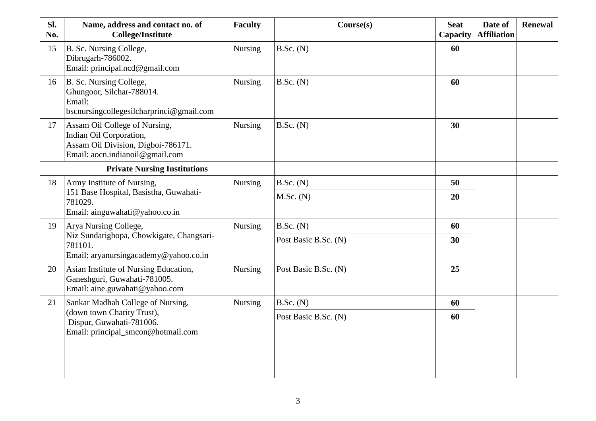| Sl.<br>No.                          | Name, address and contact no. of<br><b>College/Institute</b>                                                                      | <b>Faculty</b> | Course(s)            | <b>Seat</b><br>Capacity | Date of<br><b>Affiliation</b> | <b>Renewal</b> |
|-------------------------------------|-----------------------------------------------------------------------------------------------------------------------------------|----------------|----------------------|-------------------------|-------------------------------|----------------|
| 15                                  | B. Sc. Nursing College,<br>Dibrugarh-786002.<br>Email: principal.ncd@gmail.com                                                    | <b>Nursing</b> | B.Sc. (N)            | 60                      |                               |                |
| 16                                  | B. Sc. Nursing College,<br>Ghungoor, Silchar-788014.<br>Email:<br>bscnursingcollegesilcharprinci@gmail.com                        | Nursing        | B.Sc. (N)            | 60                      |                               |                |
| 17                                  | Assam Oil College of Nursing,<br>Indian Oil Corporation,<br>Assam Oil Division, Digboi-786171.<br>Email: aocn.indianoil@gmail.com | <b>Nursing</b> | B.Sc. (N)            | 30                      |                               |                |
| <b>Private Nursing Institutions</b> |                                                                                                                                   |                |                      |                         |                               |                |
| 18                                  | Army Institute of Nursing,<br>151 Base Hospital, Basistha, Guwahati-<br>781029.<br>Email: ainguwahati@yahoo.co.in                 | <b>Nursing</b> | B.Sc. (N)            | 50                      |                               |                |
|                                     |                                                                                                                                   |                | $M.Sc.$ (N)          | 20                      |                               |                |
| 19                                  | Arya Nursing College,                                                                                                             | <b>Nursing</b> | B.Sc. (N)            | 60                      |                               |                |
|                                     | Niz Sundarighopa, Chowkigate, Changsari-<br>781101.<br>Email: aryanursingacademy@yahoo.co.in                                      |                | Post Basic B.Sc. (N) | 30                      |                               |                |
| 20                                  | Asian Institute of Nursing Education,<br>Ganeshguri, Guwahati-781005.<br>Email: aine.guwahati@yahoo.com                           | <b>Nursing</b> | Post Basic B.Sc. (N) | 25                      |                               |                |
| 21                                  | Sankar Madhab College of Nursing,                                                                                                 | <b>Nursing</b> | B.Sc. (N)            | 60                      |                               |                |
|                                     | (down town Charity Trust),<br>Dispur, Guwahati-781006.<br>Email: principal_smcon@hotmail.com                                      |                | Post Basic B.Sc. (N) | 60                      |                               |                |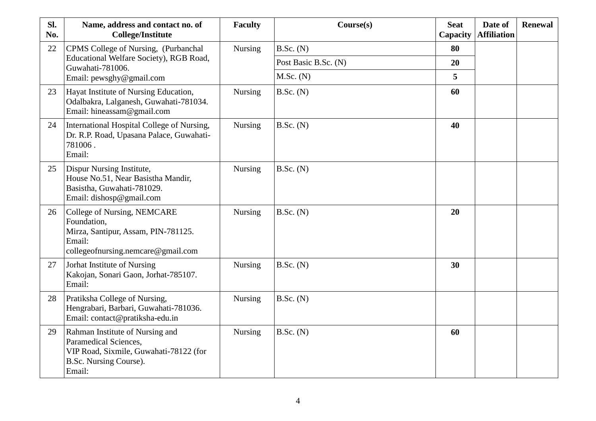| Sl.<br>No. | Name, address and contact no. of<br><b>College/Institute</b>                                                                           | <b>Faculty</b> | Course(s)            | <b>Seat</b><br>Capacity | Date of<br><b>Affiliation</b> | <b>Renewal</b> |
|------------|----------------------------------------------------------------------------------------------------------------------------------------|----------------|----------------------|-------------------------|-------------------------------|----------------|
| 22         | CPMS College of Nursing, (Purbanchal                                                                                                   | <b>Nursing</b> | B.Sc. (N)            | 80                      |                               |                |
|            | Educational Welfare Society), RGB Road,<br>Guwahati-781006.                                                                            |                | Post Basic B.Sc. (N) | 20                      |                               |                |
|            | Email: pewsghy@gmail.com                                                                                                               |                | M.Sc. (N)            | 5                       |                               |                |
| 23         | Hayat Institute of Nursing Education,<br>Odalbakra, Lalganesh, Guwahati-781034.<br>Email: hineassam@gmail.com                          | <b>Nursing</b> | B.Sc. (N)            | 60                      |                               |                |
| 24         | International Hospital College of Nursing,<br>Dr. R.P. Road, Upasana Palace, Guwahati-<br>781006.<br>Email:                            | <b>Nursing</b> | B.Sc. (N)            | 40                      |                               |                |
| 25         | Dispur Nursing Institute,<br>House No.51, Near Basistha Mandir,<br>Basistha, Guwahati-781029.<br>Email: dishosp@gmail.com              | <b>Nursing</b> | B.Sc. (N)            |                         |                               |                |
| 26         | College of Nursing, NEMCARE<br>Foundation,<br>Mirza, Santipur, Assam, PIN-781125.<br>Email:<br>collegeofnursing.nemcare@gmail.com      | <b>Nursing</b> | B.Sc. (N)            | 20                      |                               |                |
| 27         | Jorhat Institute of Nursing<br>Kakojan, Sonari Gaon, Jorhat-785107.<br>Email:                                                          | <b>Nursing</b> | B.Sc. (N)            | 30                      |                               |                |
| 28         | Pratiksha College of Nursing,<br>Hengrabari, Barbari, Guwahati-781036.<br>Email: contact@pratiksha-edu.in                              | <b>Nursing</b> | B.Sc. (N)            |                         |                               |                |
| 29         | Rahman Institute of Nursing and<br>Paramedical Sciences,<br>VIP Road, Sixmile, Guwahati-78122 (for<br>B.Sc. Nursing Course).<br>Email: | <b>Nursing</b> | B.Sc. (N)            | 60                      |                               |                |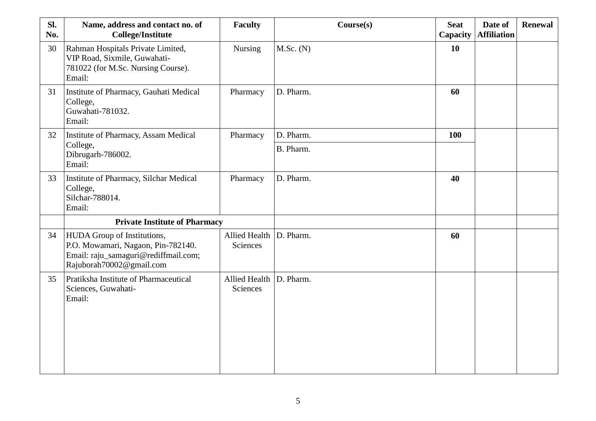| Sl.<br>No. | Name, address and contact no. of<br><b>College/Institute</b>                                                                                 | <b>Faculty</b>                      | Course(s) | <b>Seat</b><br>Capacity | Date of<br><b>Affiliation</b> | <b>Renewal</b> |
|------------|----------------------------------------------------------------------------------------------------------------------------------------------|-------------------------------------|-----------|-------------------------|-------------------------------|----------------|
| 30         | Rahman Hospitals Private Limited,<br>VIP Road, Sixmile, Guwahati-<br>781022 (for M.Sc. Nursing Course).<br>Email:                            | <b>Nursing</b>                      | M.Sc. (N) | 10                      |                               |                |
| 31         | Institute of Pharmacy, Gauhati Medical<br>College,<br>Guwahati-781032.<br>Email:                                                             | Pharmacy                            | D. Pharm. | 60                      |                               |                |
| 32         | Institute of Pharmacy, Assam Medical                                                                                                         | Pharmacy                            | D. Pharm. | 100                     |                               |                |
|            | College,<br>Dibrugarh-786002.<br>Email:                                                                                                      |                                     | B. Pharm. |                         |                               |                |
| 33         | Institute of Pharmacy, Silchar Medical<br>College,<br>Silchar-788014.<br>Email:                                                              | Pharmacy                            | D. Pharm. | 40                      |                               |                |
|            | <b>Private Institute of Pharmacy</b>                                                                                                         |                                     |           |                         |                               |                |
| 34         | <b>HUDA</b> Group of Institutions,<br>P.O. Mowamari, Nagaon, Pin-782140.<br>Email: raju_samaguri@rediffmail.com;<br>Rajuborah70002@gmail.com | Allied Health D. Pharm.<br>Sciences |           | 60                      |                               |                |
| 35         | Pratiksha Institute of Pharmaceutical<br>Sciences, Guwahati-<br>Email:                                                                       | Allied Health D. Pharm.<br>Sciences |           |                         |                               |                |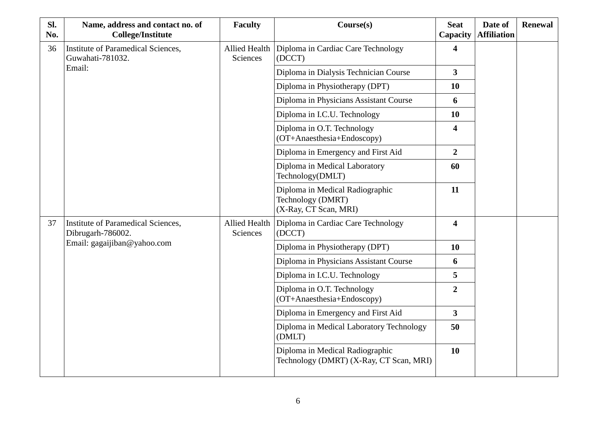| SI.<br>No. | Name, address and contact no. of<br><b>College/Institute</b> | <b>Faculty</b>                   | Course(s)                                                                     | <b>Seat</b><br>Capacity | Date of<br><b>Affiliation</b> | <b>Renewal</b> |
|------------|--------------------------------------------------------------|----------------------------------|-------------------------------------------------------------------------------|-------------------------|-------------------------------|----------------|
| 36         | Institute of Paramedical Sciences,<br>Guwahati-781032.       | Allied Health<br>Sciences        | Diploma in Cardiac Care Technology<br>(DCCT)                                  | $\overline{\mathbf{4}}$ |                               |                |
|            | Email:                                                       |                                  | Diploma in Dialysis Technician Course                                         | $\overline{3}$          |                               |                |
|            |                                                              |                                  | Diploma in Physiotherapy (DPT)                                                | <b>10</b>               |                               |                |
|            |                                                              |                                  | Diploma in Physicians Assistant Course                                        | 6                       |                               |                |
|            |                                                              |                                  | Diploma in I.C.U. Technology                                                  | <b>10</b>               |                               |                |
|            |                                                              |                                  | Diploma in O.T. Technology<br>(OT+Anaesthesia+Endoscopy)                      | $\overline{\mathbf{4}}$ |                               |                |
|            |                                                              |                                  | Diploma in Emergency and First Aid                                            | $\overline{2}$          |                               |                |
|            |                                                              |                                  | Diploma in Medical Laboratory<br>Technology(DMLT)                             | 60                      |                               |                |
|            |                                                              |                                  | Diploma in Medical Radiographic<br>Technology (DMRT)<br>(X-Ray, CT Scan, MRI) | 11                      |                               |                |
| 37         | Institute of Paramedical Sciences,<br>Dibrugarh-786002.      | <b>Allied Health</b><br>Sciences | Diploma in Cardiac Care Technology<br>(DCCT)                                  | $\overline{\mathbf{4}}$ |                               |                |
|            | Email: gagaijiban@yahoo.com                                  |                                  | Diploma in Physiotherapy (DPT)                                                | 10                      |                               |                |
|            |                                                              |                                  | Diploma in Physicians Assistant Course                                        | 6                       |                               |                |
|            |                                                              |                                  | Diploma in I.C.U. Technology                                                  | 5                       |                               |                |
|            |                                                              |                                  | Diploma in O.T. Technology<br>(OT+Anaesthesia+Endoscopy)                      | $\overline{2}$          |                               |                |
|            |                                                              |                                  | Diploma in Emergency and First Aid                                            | $\overline{3}$          |                               |                |
|            |                                                              |                                  | Diploma in Medical Laboratory Technology<br>(DMLT)                            | 50                      |                               |                |
|            |                                                              |                                  | Diploma in Medical Radiographic<br>Technology (DMRT) (X-Ray, CT Scan, MRI)    | 10                      |                               |                |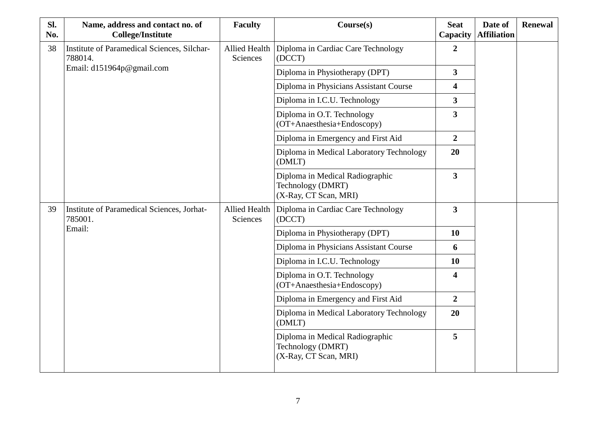| SI.<br>No. | Name, address and contact no. of<br><b>College/Institute</b>  | <b>Faculty</b>                     | Course(s)                                                                     | <b>Seat</b><br>Capacity | Date of<br><b>Affiliation</b> | <b>Renewal</b> |
|------------|---------------------------------------------------------------|------------------------------------|-------------------------------------------------------------------------------|-------------------------|-------------------------------|----------------|
| 38         | <b>Institute of Paramedical Sciences, Silchar-</b><br>788014. | Allied Health<br>Sciences          | Diploma in Cardiac Care Technology<br>(DCCT)                                  | $\overline{2}$          |                               |                |
|            | Email: d151964p@gmail.com                                     |                                    | Diploma in Physiotherapy (DPT)                                                | $\overline{3}$          |                               |                |
|            |                                                               |                                    | Diploma in Physicians Assistant Course                                        | 4                       |                               |                |
|            |                                                               |                                    | Diploma in I.C.U. Technology                                                  | 3                       |                               |                |
|            |                                                               |                                    | Diploma in O.T. Technology<br>(OT+Anaesthesia+Endoscopy)                      | 3                       |                               |                |
|            |                                                               | Diploma in Emergency and First Aid | $\overline{2}$                                                                |                         |                               |                |
|            |                                                               |                                    | Diploma in Medical Laboratory Technology<br>(DMLT)                            | 20                      |                               |                |
|            |                                                               |                                    | Diploma in Medical Radiographic<br>Technology (DMRT)<br>(X-Ray, CT Scan, MRI) | $\overline{\mathbf{3}}$ |                               |                |
| 39         | Institute of Paramedical Sciences, Jorhat-<br>785001.         | <b>Allied Health</b><br>Sciences   | Diploma in Cardiac Care Technology<br>(DCCT)                                  | $\overline{\mathbf{3}}$ |                               |                |
|            | Email:                                                        |                                    | Diploma in Physiotherapy (DPT)                                                | 10                      |                               |                |
|            |                                                               |                                    | Diploma in Physicians Assistant Course                                        | 6                       |                               |                |
|            |                                                               |                                    | Diploma in I.C.U. Technology                                                  | 10                      |                               |                |
|            |                                                               |                                    | Diploma in O.T. Technology<br>(OT+Anaesthesia+Endoscopy)                      | 4                       |                               |                |
|            |                                                               |                                    | Diploma in Emergency and First Aid                                            | $\overline{2}$          |                               |                |
|            |                                                               |                                    | Diploma in Medical Laboratory Technology<br>(DMLT)                            | 20                      |                               |                |
|            |                                                               |                                    | Diploma in Medical Radiographic<br>Technology (DMRT)<br>(X-Ray, CT Scan, MRI) | 5                       |                               |                |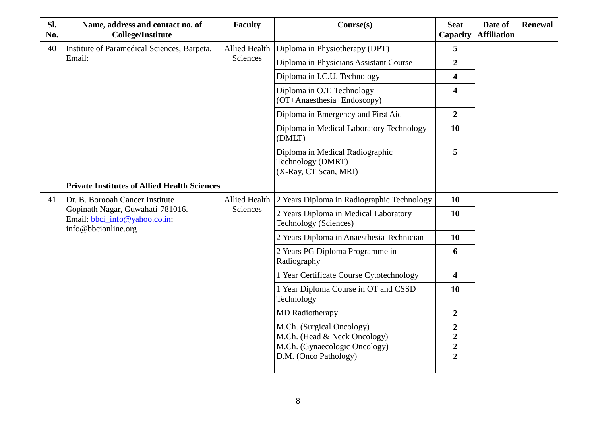| SI.<br>No. | Name, address and contact no. of<br><b>College/Institute</b>                             | <b>Faculty</b>                   | Course(s)                                                                                                           | <b>Seat</b><br>Capacity                             | Date of<br><b>Affiliation</b> | <b>Renewal</b> |
|------------|------------------------------------------------------------------------------------------|----------------------------------|---------------------------------------------------------------------------------------------------------------------|-----------------------------------------------------|-------------------------------|----------------|
| 40         | Institute of Paramedical Sciences, Barpeta.                                              |                                  | Allied Health Diploma in Physiotherapy (DPT)                                                                        | 5                                                   |                               |                |
|            | Email:                                                                                   | Sciences                         | Diploma in Physicians Assistant Course                                                                              | $\overline{2}$                                      |                               |                |
|            |                                                                                          |                                  | Diploma in I.C.U. Technology                                                                                        | 4                                                   |                               |                |
|            |                                                                                          |                                  | Diploma in O.T. Technology<br>(OT+Anaesthesia+Endoscopy)                                                            | 4                                                   |                               |                |
|            |                                                                                          |                                  | Diploma in Emergency and First Aid                                                                                  | $\overline{2}$                                      |                               |                |
|            |                                                                                          |                                  | Diploma in Medical Laboratory Technology<br>(DMLT)                                                                  | 10                                                  |                               |                |
|            |                                                                                          |                                  | Diploma in Medical Radiographic<br>Technology (DMRT)<br>(X-Ray, CT Scan, MRI)                                       | 5                                                   |                               |                |
|            | <b>Private Institutes of Allied Health Sciences</b>                                      |                                  |                                                                                                                     |                                                     |                               |                |
| 41         | Dr. B. Borooah Cancer Institute                                                          | <b>Allied Health</b><br>Sciences | 2 Years Diploma in Radiographic Technology                                                                          | 10                                                  |                               |                |
|            | Gopinath Nagar, Guwahati-781016.<br>Email: bbci_info@yahoo.co.in;<br>info@bbcionline.org |                                  | 2 Years Diploma in Medical Laboratory<br>Technology (Sciences)                                                      | <b>10</b>                                           |                               |                |
|            |                                                                                          |                                  | 2 Years Diploma in Anaesthesia Technician                                                                           | 10                                                  |                               |                |
|            |                                                                                          |                                  | 2 Years PG Diploma Programme in<br>Radiography                                                                      | 6                                                   |                               |                |
|            |                                                                                          |                                  | 1 Year Certificate Course Cytotechnology                                                                            | $\overline{\mathbf{4}}$                             |                               |                |
|            |                                                                                          |                                  | 1 Year Diploma Course in OT and CSSD<br>Technology                                                                  | 10                                                  |                               |                |
|            |                                                                                          |                                  | <b>MD</b> Radiotherapy                                                                                              | $\overline{2}$                                      |                               |                |
|            |                                                                                          |                                  | M.Ch. (Surgical Oncology)<br>M.Ch. (Head & Neck Oncology)<br>M.Ch. (Gynaecologic Oncology)<br>D.M. (Onco Pathology) | $\boldsymbol{2}$<br>$\frac{2}{2}$<br>$\overline{2}$ |                               |                |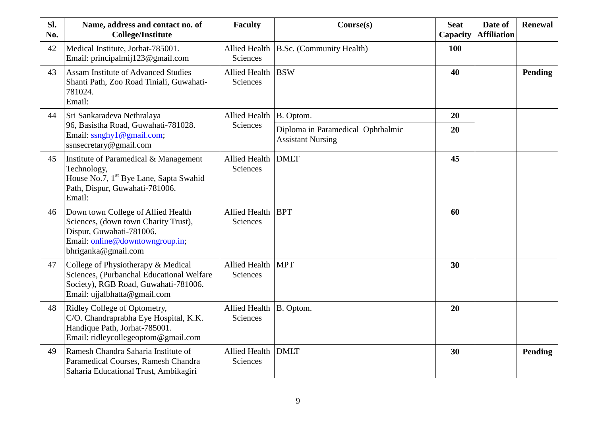| SI.<br>No. | Name, address and contact no. of<br><b>College/Institute</b>                                                                                                     | <b>Faculty</b>                        | Course(s)                                                     | <b>Seat</b><br>Capacity | Date of<br><b>Affiliation</b> | <b>Renewal</b> |
|------------|------------------------------------------------------------------------------------------------------------------------------------------------------------------|---------------------------------------|---------------------------------------------------------------|-------------------------|-------------------------------|----------------|
| 42         | Medical Institute, Jorhat-785001.<br>Email: principalmij123@gmail.com                                                                                            | <b>Sciences</b>                       | Allied Health B.Sc. (Community Health)                        | 100                     |                               |                |
| 43         | <b>Assam Institute of Advanced Studies</b><br>Shanti Path, Zoo Road Tiniali, Guwahati-<br>781024.<br>Email:                                                      | Allied Health BSW<br><b>Sciences</b>  |                                                               | 40                      |                               | Pending        |
| 44         | Sri Sankaradeva Nethralaya                                                                                                                                       | Allied Health   B. Optom.             |                                                               | 20                      |                               |                |
|            | 96, Basistha Road, Guwahati-781028.<br>Email: ssnghy1@gmail.com;<br>ssnsecretary@gmail.com                                                                       | Sciences                              | Diploma in Paramedical Ophthalmic<br><b>Assistant Nursing</b> | 20                      |                               |                |
| 45         | Institute of Paramedical & Management<br>Technology,<br>House No.7, 1 <sup>st</sup> Bye Lane, Sapta Swahid<br>Path, Dispur, Guwahati-781006.<br>Email:           | Allied Health DMLT<br>Sciences        |                                                               | 45                      |                               |                |
| 46         | Down town College of Allied Health<br>Sciences, (down town Charity Trust),<br>Dispur, Guwahati-781006.<br>Email: online@downtowngroup.in;<br>bhriganka@gmail.com | Allied Health   BPT<br>Sciences       |                                                               | 60                      |                               |                |
| 47         | College of Physiotherapy & Medical<br>Sciences, (Purbanchal Educational Welfare<br>Society), RGB Road, Guwahati-781006.<br>Email: ujjalbhatta@gmail.com          | Allied Health   MPT<br>Sciences       |                                                               | 30                      |                               |                |
| 48         | Ridley College of Optometry,<br>C/O. Chandraprabha Eye Hospital, K.K.<br>Handique Path, Jorhat-785001.<br>Email: ridleycollegeoptom@gmail.com                    | Allied Health   B. Optom.<br>Sciences |                                                               | 20                      |                               |                |
| 49         | Ramesh Chandra Saharia Institute of<br>Paramedical Courses, Ramesh Chandra<br>Saharia Educational Trust, Ambikagiri                                              | Allied Health DMLT<br>Sciences        |                                                               | 30                      |                               | Pending        |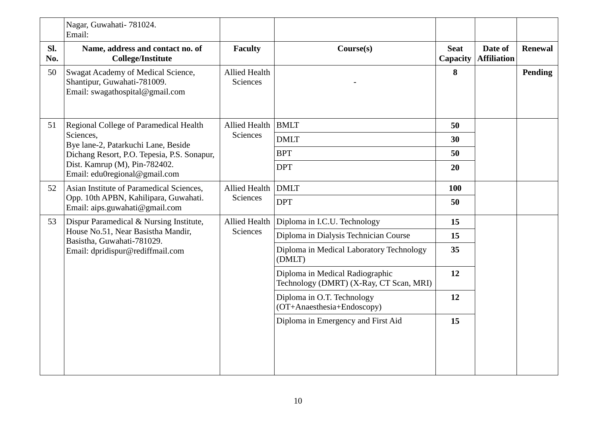|            | Nagar, Guwahati- 781024.<br>Email:                                                                   |                                  |                                                                            |                         |                               |                |
|------------|------------------------------------------------------------------------------------------------------|----------------------------------|----------------------------------------------------------------------------|-------------------------|-------------------------------|----------------|
| Sl.<br>No. | Name, address and contact no. of<br><b>College/Institute</b>                                         | <b>Faculty</b>                   | Course(s)                                                                  | <b>Seat</b><br>Capacity | Date of<br><b>Affiliation</b> | <b>Renewal</b> |
| 50         | Swagat Academy of Medical Science,<br>Shantipur, Guwahati-781009.<br>Email: swagathospital@gmail.com | <b>Allied Health</b><br>Sciences |                                                                            | 8                       |                               | Pending        |
| 51         | Regional College of Paramedical Health                                                               | Allied Health BMLT               |                                                                            | 50                      |                               |                |
|            | Sciences,<br>Bye lane-2, Patarkuchi Lane, Beside<br>Dichang Resort, P.O. Tepesia, P.S. Sonapur,      | Sciences                         | <b>DMLT</b>                                                                | 30                      |                               |                |
|            |                                                                                                      |                                  | <b>BPT</b>                                                                 | 50                      |                               |                |
|            | Dist. Kamrup (M), Pin-782402.<br>Email: edu0regional@gmail.com                                       |                                  | <b>DPT</b>                                                                 | 20                      |                               |                |
| 52         | Asian Institute of Paramedical Sciences,                                                             | Allied Health DMLT               |                                                                            | 100                     |                               |                |
|            | Opp. 10th APBN, Kahilipara, Guwahati.<br>Email: aips.guwahati@gmail.com                              | Sciences                         | <b>DPT</b>                                                                 | 50                      |                               |                |
| 53         | Dispur Paramedical & Nursing Institute,                                                              | Allied Health                    | Diploma in I.C.U. Technology                                               | 15                      |                               |                |
|            | House No.51, Near Basistha Mandir,<br>Basistha, Guwahati-781029.                                     | Sciences                         | Diploma in Dialysis Technician Course                                      | 15                      |                               |                |
|            | Email: dpridispur@rediffmail.com                                                                     |                                  | Diploma in Medical Laboratory Technology<br>(DMLT)                         | 35                      |                               |                |
|            |                                                                                                      |                                  | Diploma in Medical Radiographic<br>Technology (DMRT) (X-Ray, CT Scan, MRI) | 12                      |                               |                |
|            |                                                                                                      |                                  | Diploma in O.T. Technology<br>(OT+Anaesthesia+Endoscopy)                   | 12                      |                               |                |
|            |                                                                                                      |                                  | Diploma in Emergency and First Aid                                         | 15                      |                               |                |
|            |                                                                                                      |                                  |                                                                            |                         |                               |                |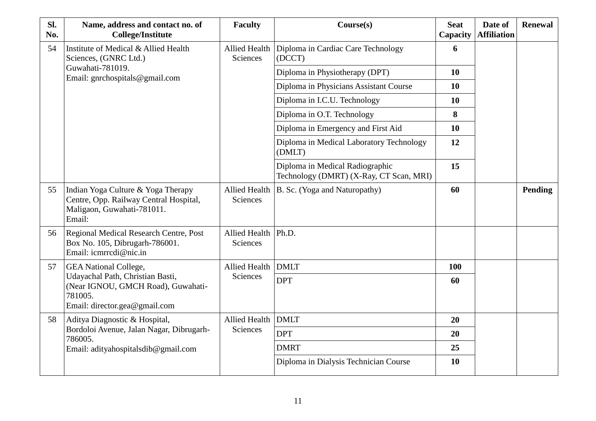| SI.<br>No. | Name, address and contact no. of<br><b>College/Institute</b>                                                         | <b>Faculty</b>                           | Course(s)                                                                  | <b>Seat</b><br>Capacity | Date of<br><b>Affiliation</b> | <b>Renewal</b> |
|------------|----------------------------------------------------------------------------------------------------------------------|------------------------------------------|----------------------------------------------------------------------------|-------------------------|-------------------------------|----------------|
| 54         | Institute of Medical & Allied Health<br>Sciences, (GNRC Ltd.)                                                        | <b>Sciences</b>                          | Allied Health   Diploma in Cardiac Care Technology<br>(DCCT)               | 6                       |                               |                |
|            | Guwahati-781019.<br>Email: gnrchospitals@gmail.com                                                                   |                                          | Diploma in Physiotherapy (DPT)                                             | 10                      |                               |                |
|            |                                                                                                                      |                                          | Diploma in Physicians Assistant Course                                     | 10                      |                               |                |
|            |                                                                                                                      |                                          | Diploma in I.C.U. Technology                                               | 10                      |                               |                |
|            |                                                                                                                      |                                          | Diploma in O.T. Technology                                                 | 8                       |                               |                |
|            |                                                                                                                      |                                          | Diploma in Emergency and First Aid                                         | 10                      |                               |                |
|            |                                                                                                                      |                                          | Diploma in Medical Laboratory Technology<br>(DMLT)                         | 12                      |                               |                |
|            |                                                                                                                      |                                          | Diploma in Medical Radiographic<br>Technology (DMRT) (X-Ray, CT Scan, MRI) | 15                      |                               |                |
| 55         | Indian Yoga Culture & Yoga Therapy<br>Centre, Opp. Railway Central Hospital,<br>Maligaon, Guwahati-781011.<br>Email: | Sciences                                 | Allied Health   B. Sc. (Yoga and Naturopathy)                              | 60                      |                               | Pending        |
| 56         | <b>Regional Medical Research Centre, Post</b><br>Box No. 105, Dibrugarh-786001.<br>Email: icmrrcdi@nic.in            | Allied Health   Ph.D.<br><b>Sciences</b> |                                                                            |                         |                               |                |
| 57         | <b>GEA National College,</b>                                                                                         | Allied Health DMLT                       |                                                                            | 100                     |                               |                |
|            | Udayachal Path, Christian Basti,<br>(Near IGNOU, GMCH Road), Guwahati-<br>781005.<br>Email: director.gea@gmail.com   | <b>Sciences</b>                          | <b>DPT</b>                                                                 | 60                      |                               |                |
| 58         | Aditya Diagnostic & Hospital,                                                                                        | Allied Health   DMLT                     |                                                                            | 20                      |                               |                |
|            | Bordoloi Avenue, Jalan Nagar, Dibrugarh-<br>786005.                                                                  | Sciences                                 | <b>DPT</b>                                                                 | 20                      |                               |                |
|            | Email: adityahospitalsdib@gmail.com                                                                                  |                                          | <b>DMRT</b>                                                                | 25                      |                               |                |
|            |                                                                                                                      |                                          | Diploma in Dialysis Technician Course                                      | 10                      |                               |                |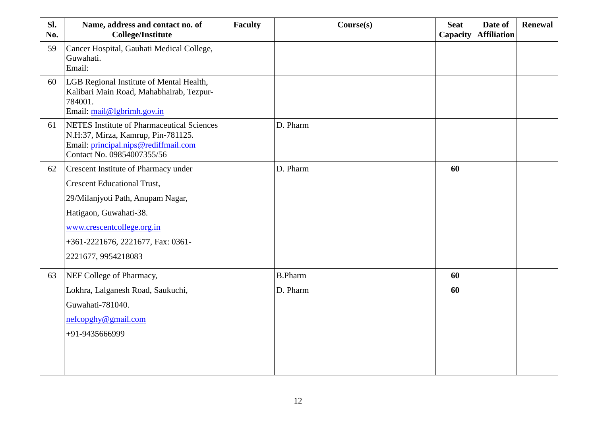| Sl.<br>No. | Name, address and contact no. of<br><b>College/Institute</b>                                                                                                                                                                        | <b>Faculty</b> | Course(s)                  | <b>Seat</b><br>Capacity | Date of<br><b>Affiliation</b> | <b>Renewal</b> |
|------------|-------------------------------------------------------------------------------------------------------------------------------------------------------------------------------------------------------------------------------------|----------------|----------------------------|-------------------------|-------------------------------|----------------|
| 59         | Cancer Hospital, Gauhati Medical College,<br>Guwahati.<br>Email:                                                                                                                                                                    |                |                            |                         |                               |                |
| 60         | LGB Regional Institute of Mental Health,<br>Kalibari Main Road, Mahabhairab, Tezpur-<br>784001.<br>Email: mail@lgbrimh.gov.in                                                                                                       |                |                            |                         |                               |                |
| 61         | <b>NETES</b> Institute of Pharmaceutical Sciences<br>N.H:37, Mirza, Kamrup, Pin-781125.<br>Email: principal.nips@rediffmail.com<br>Contact No. 09854007355/56                                                                       |                | D. Pharm                   |                         |                               |                |
| 62         | Crescent Institute of Pharmacy under<br><b>Crescent Educational Trust,</b><br>29/Milanjyoti Path, Anupam Nagar,<br>Hatigaon, Guwahati-38.<br>www.crescentcollege.org.in<br>+361-2221676, 2221677, Fax: 0361-<br>2221677, 9954218083 |                | D. Pharm                   | 60                      |                               |                |
| 63         | NEF College of Pharmacy,<br>Lokhra, Lalganesh Road, Saukuchi,<br>Guwahati-781040.<br>nefcopghy@gmail.com<br>+91-9435666999                                                                                                          |                | <b>B.Pharm</b><br>D. Pharm | 60<br>60                |                               |                |